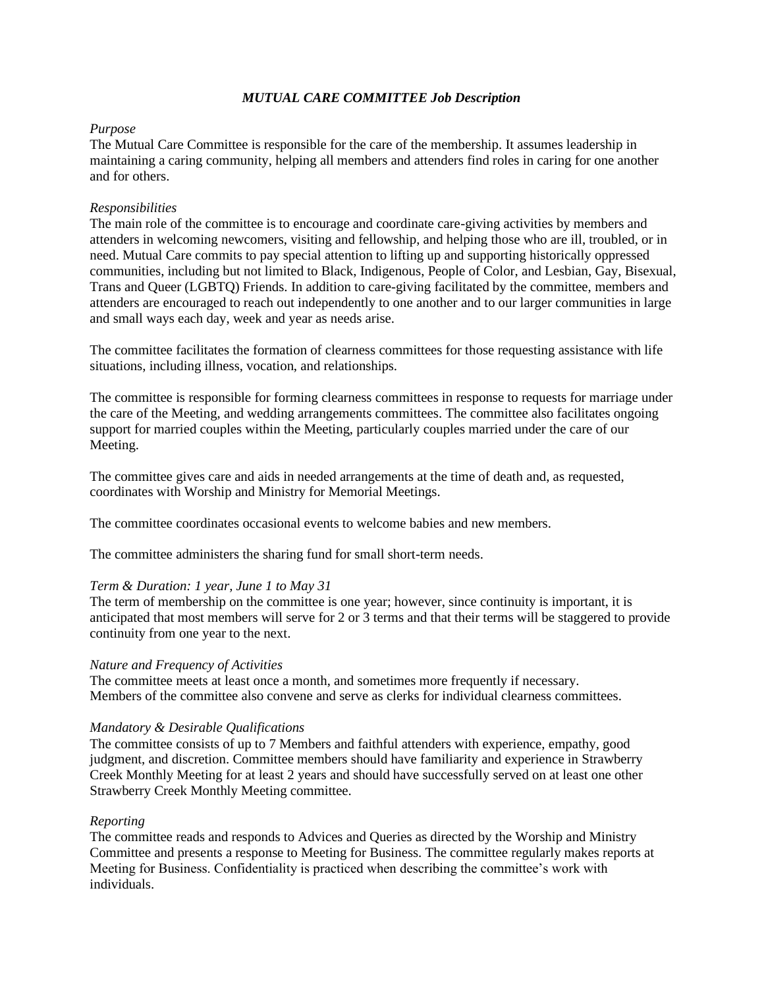# *MUTUAL CARE COMMITTEE Job Description*

# *Purpose*

The Mutual Care Committee is responsible for the care of the membership. It assumes leadership in maintaining a caring community, helping all members and attenders find roles in caring for one another and for others.

# *Responsibilities*

The main role of the committee is to encourage and coordinate care-giving activities by members and attenders in welcoming newcomers, visiting and fellowship, and helping those who are ill, troubled, or in need. Mutual Care commits to pay special attention to lifting up and supporting historically oppressed communities, including but not limited to Black, Indigenous, People of Color, and Lesbian, Gay, Bisexual, Trans and Queer (LGBTQ) Friends. In addition to care-giving facilitated by the committee, members and attenders are encouraged to reach out independently to one another and to our larger communities in large and small ways each day, week and year as needs arise.

The committee facilitates the formation of clearness committees for those requesting assistance with life situations, including illness, vocation, and relationships.

The committee is responsible for forming clearness committees in response to requests for marriage under the care of the Meeting, and wedding arrangements committees. The committee also facilitates ongoing support for married couples within the Meeting, particularly couples married under the care of our Meeting.

The committee gives care and aids in needed arrangements at the time of death and, as requested, coordinates with Worship and Ministry for Memorial Meetings.

The committee coordinates occasional events to welcome babies and new members.

The committee administers the sharing fund for small short-term needs.

# *Term & Duration: 1 year, June 1 to May 31*

The term of membership on the committee is one year; however, since continuity is important, it is anticipated that most members will serve for 2 or 3 terms and that their terms will be staggered to provide continuity from one year to the next.

# *Nature and Frequency of Activities*

The committee meets at least once a month, and sometimes more frequently if necessary. Members of the committee also convene and serve as clerks for individual clearness committees.

#### *Mandatory & Desirable Qualifications*

The committee consists of up to 7 Members and faithful attenders with experience, empathy, good judgment, and discretion. Committee members should have familiarity and experience in Strawberry Creek Monthly Meeting for at least 2 years and should have successfully served on at least one other Strawberry Creek Monthly Meeting committee.

#### *Reporting*

The committee reads and responds to Advices and Queries as directed by the Worship and Ministry Committee and presents a response to Meeting for Business. The committee regularly makes reports at Meeting for Business. Confidentiality is practiced when describing the committee's work with individuals.